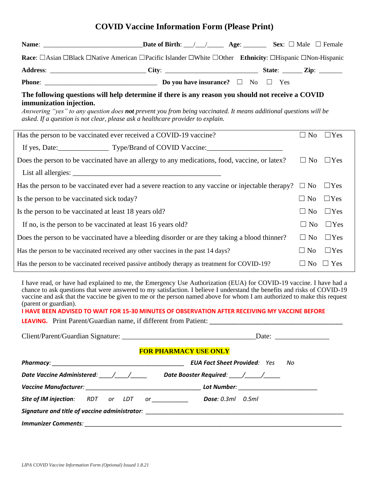## **COVID Vaccine Information Form (Please Print)**

|                                                                                                                                                                                                                                                                                                                                                                                                                                                                                                      | Race: □Asian □Black □Native American □Pacific Islander □White □Other Ethnicity: □Hispanic □Non-Hispanic                                                                                                                |  |                      |            |  |
|------------------------------------------------------------------------------------------------------------------------------------------------------------------------------------------------------------------------------------------------------------------------------------------------------------------------------------------------------------------------------------------------------------------------------------------------------------------------------------------------------|------------------------------------------------------------------------------------------------------------------------------------------------------------------------------------------------------------------------|--|----------------------|------------|--|
|                                                                                                                                                                                                                                                                                                                                                                                                                                                                                                      |                                                                                                                                                                                                                        |  |                      |            |  |
|                                                                                                                                                                                                                                                                                                                                                                                                                                                                                                      |                                                                                                                                                                                                                        |  |                      |            |  |
| immunization injection.<br>asked. If a question is not clear, please ask a healthcare provider to explain.                                                                                                                                                                                                                                                                                                                                                                                           | The following questions will help determine if there is any reason you should not receive a COVID<br>Answering "yes" to any question does not prevent you from being vaccinated. It means additional questions will be |  |                      |            |  |
| Has the person to be vaccinated ever received a COVID-19 vaccine?                                                                                                                                                                                                                                                                                                                                                                                                                                    |                                                                                                                                                                                                                        |  | $\Box$ No            | $\Box$ Yes |  |
| If yes, Date: Type/Brand of COVID Vaccine:                                                                                                                                                                                                                                                                                                                                                                                                                                                           |                                                                                                                                                                                                                        |  |                      |            |  |
| Does the person to be vaccinated have an allergy to any medications, food, vaccine, or latex?                                                                                                                                                                                                                                                                                                                                                                                                        |                                                                                                                                                                                                                        |  | $\Box$ No            | $\Box$ Yes |  |
|                                                                                                                                                                                                                                                                                                                                                                                                                                                                                                      |                                                                                                                                                                                                                        |  |                      |            |  |
| Has the person to be vaccinated ever had a severe reaction to any vaccine or injectable therapy? $\Box$ No                                                                                                                                                                                                                                                                                                                                                                                           |                                                                                                                                                                                                                        |  |                      | $\Box$ Yes |  |
| Is the person to be vaccinated sick today?                                                                                                                                                                                                                                                                                                                                                                                                                                                           |                                                                                                                                                                                                                        |  | $\Box$ No            | $\Box$ Yes |  |
| Is the person to be vaccinated at least 18 years old?                                                                                                                                                                                                                                                                                                                                                                                                                                                |                                                                                                                                                                                                                        |  | $\Box$ No            | $\Box$ Yes |  |
| If no, is the person to be vaccinated at least 16 years old?                                                                                                                                                                                                                                                                                                                                                                                                                                         |                                                                                                                                                                                                                        |  | $\Box$ No            | $\Box$ Yes |  |
| Does the person to be vaccinated have a bleeding disorder or are they taking a blood thinner?                                                                                                                                                                                                                                                                                                                                                                                                        |                                                                                                                                                                                                                        |  | $\Box$ No            | $\Box$ Yes |  |
| Has the person to be vaccinated received any other vaccines in the past 14 days?                                                                                                                                                                                                                                                                                                                                                                                                                     |                                                                                                                                                                                                                        |  | $\Box$ No            | $\Box$ Yes |  |
| Has the person to be vaccinated received passive antibody therapy as treatment for COVID-19?                                                                                                                                                                                                                                                                                                                                                                                                         |                                                                                                                                                                                                                        |  | $\Box$ No $\Box$ Yes |            |  |
| I have read, or have had explained to me, the Emergency Use Authorization (EUA) for COVID-19 vaccine. I have had a<br>chance to ask questions that were answered to my satisfaction. I believe I understand the benefits and risks of COVID-19<br>vaccine and ask that the vaccine be given to me or the person named above for whom I am authorized to make this request<br>(parent or guardian).<br>I HAVE BEEN ADVISED TO WAIT FOR 15-30 MINUTES OF OBSERVATION AFTER RECEIVING MY VACCINE BEFORE |                                                                                                                                                                                                                        |  |                      |            |  |
|                                                                                                                                                                                                                                                                                                                                                                                                                                                                                                      |                                                                                                                                                                                                                        |  |                      |            |  |
|                                                                                                                                                                                                                                                                                                                                                                                                                                                                                                      |                                                                                                                                                                                                                        |  |                      |            |  |
| <b>FOR PHARMACY USE ONLY</b>                                                                                                                                                                                                                                                                                                                                                                                                                                                                         |                                                                                                                                                                                                                        |  |                      |            |  |
|                                                                                                                                                                                                                                                                                                                                                                                                                                                                                                      |                                                                                                                                                                                                                        |  |                      |            |  |
| Date Vaccine Administered: ____/____/_____ Date Booster Required: ____/_____/____                                                                                                                                                                                                                                                                                                                                                                                                                    |                                                                                                                                                                                                                        |  |                      |            |  |
|                                                                                                                                                                                                                                                                                                                                                                                                                                                                                                      |                                                                                                                                                                                                                        |  |                      |            |  |
| Site of IM injection: RDT or LDT or _____________ Dose: 0.3ml 0.5ml                                                                                                                                                                                                                                                                                                                                                                                                                                  |                                                                                                                                                                                                                        |  |                      |            |  |
|                                                                                                                                                                                                                                                                                                                                                                                                                                                                                                      |                                                                                                                                                                                                                        |  |                      |            |  |

*Immunizer Comments: \_\_\_\_\_\_\_\_\_\_\_\_\_\_\_\_\_\_\_\_\_\_\_\_\_\_\_\_\_\_\_\_\_\_\_\_\_\_\_\_\_\_\_\_\_\_\_\_\_\_\_\_\_\_\_\_\_\_\_\_\_\_\_\_\_\_\_\_\_\_\_\_\_\_\_\_\_\_*